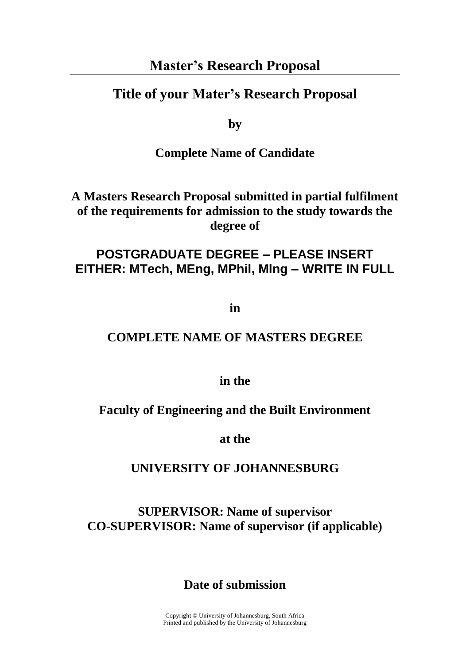# **Master's Research Proposal**

# **Title of your Mater's Research Proposal**

**by**

# **Complete Name of Candidate**

**A Masters Research Proposal submitted in partial fulfilment of the requirements for admission to the study towards the degree of**

# **POSTGRADUATE DEGREE – PLEASE INSERT EITHER: MTech, MEng, MPhil, Mlng – WRITE IN FULL**

**in**

# **COMPLETE NAME OF MASTERS DEGREE**

**in the**

### **Faculty of Engineering and the Built Environment**

**at the**

# **UNIVERSITY OF JOHANNESBURG**

**SUPERVISOR: Name of supervisor CO-SUPERVISOR: Name of supervisor (if applicable)**

**Date of submission**

Copyright © University of Johannesburg, South Africa Printed and published by the University of Johannesburg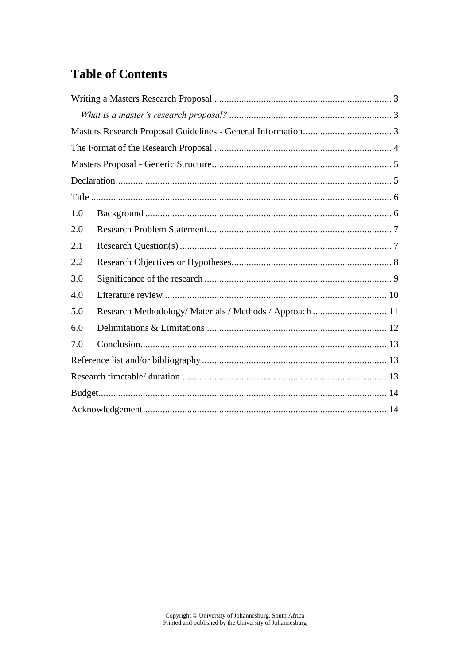# **Table of Contents**

| 1.0 |                                                          |  |
|-----|----------------------------------------------------------|--|
| 2.0 |                                                          |  |
| 2.1 |                                                          |  |
| 2.2 |                                                          |  |
| 3.0 |                                                          |  |
| 4.0 |                                                          |  |
| 5.0 | Research Methodology/ Materials / Methods / Approach  11 |  |
| 6.0 |                                                          |  |
| 7.0 |                                                          |  |
|     |                                                          |  |
|     |                                                          |  |
|     |                                                          |  |
|     |                                                          |  |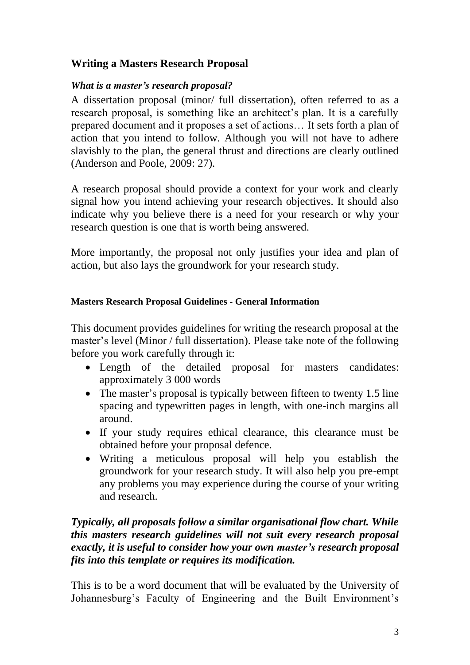# <span id="page-2-0"></span>**Writing a Masters Research Proposal**

### <span id="page-2-1"></span>*What is a master's research proposal?*

A dissertation proposal (minor/ full dissertation), often referred to as a research proposal, is something like an architect's plan. It is a carefully prepared document and it proposes a set of actions… It sets forth a plan of action that you intend to follow. Although you will not have to adhere slavishly to the plan, the general thrust and directions are clearly outlined (Anderson and Poole, 2009: 27).

A research proposal should provide a context for your work and clearly signal how you intend achieving your research objectives. It should also indicate why you believe there is a need for your research or why your research question is one that is worth being answered.

More importantly, the proposal not only justifies your idea and plan of action, but also lays the groundwork for your research study.

### <span id="page-2-2"></span>**Masters Research Proposal Guidelines - General Information**

This document provides guidelines for writing the research proposal at the master's level (Minor / full dissertation). Please take note of the following before you work carefully through it:

- Length of the detailed proposal for masters candidates: approximately 3 000 words
- The master's proposal is typically between fifteen to twenty 1.5 line spacing and typewritten pages in length, with one-inch margins all around.
- If your study requires ethical clearance, this clearance must be obtained before your proposal defence.
- Writing a meticulous proposal will help you establish the groundwork for your research study. It will also help you pre-empt any problems you may experience during the course of your writing and research.

## *Typically, all proposals follow a similar organisational flow chart. While this masters research guidelines will not suit every research proposal exactly, it is useful to consider how your own master's research proposal fits into this template or requires its modification.*

This is to be a word document that will be evaluated by the University of Johannesburg's Faculty of Engineering and the Built Environment's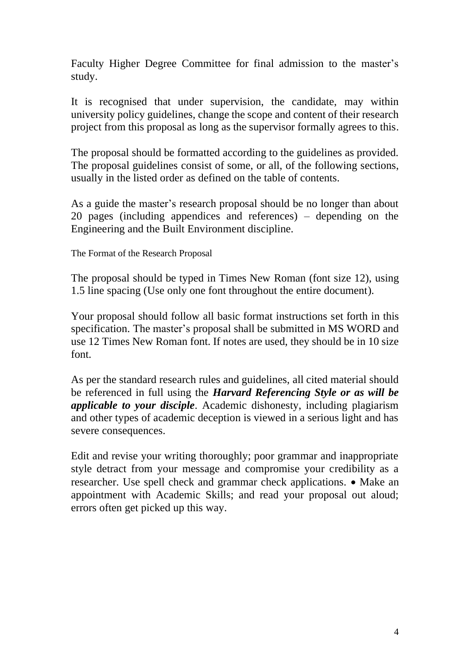Faculty Higher Degree Committee for final admission to the master's study.

It is recognised that under supervision, the candidate, may within university policy guidelines, change the scope and content of their research project from this proposal as long as the supervisor formally agrees to this.

The proposal should be formatted according to the guidelines as provided. The proposal guidelines consist of some, or all, of the following sections, usually in the listed order as defined on the table of contents.

As a guide the master's research proposal should be no longer than about 20 pages (including appendices and references) – depending on the Engineering and the Built Environment discipline.

<span id="page-3-0"></span>The Format of the Research Proposal

The proposal should be typed in Times New Roman (font size 12), using 1.5 line spacing (Use only one font throughout the entire document).

Your proposal should follow all basic format instructions set forth in this specification. The master's proposal shall be submitted in MS WORD and use 12 Times New Roman font. If notes are used, they should be in 10 size font.

As per the standard research rules and guidelines, all cited material should be referenced in full using the *Harvard Referencing Style or as will be applicable to your disciple*. Academic dishonesty, including plagiarism and other types of academic deception is viewed in a serious light and has severe consequences.

Edit and revise your writing thoroughly; poor grammar and inappropriate style detract from your message and compromise your credibility as a researcher. Use spell check and grammar check applications. • Make an appointment with Academic Skills; and read your proposal out aloud; errors often get picked up this way.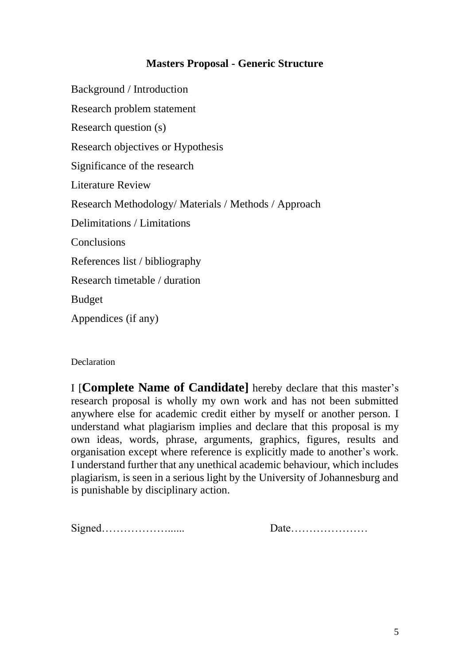### **Masters Proposal - Generic Structure**

<span id="page-4-0"></span>Background / Introduction Research problem statement Research question (s) Research objectives or Hypothesis Significance of the research Literature Review Research Methodology/ Materials / Methods / Approach Delimitations / Limitations **Conclusions** References list / bibliography Research timetable / duration Budget Appendices (if any)

#### <span id="page-4-1"></span>**Declaration**

I [**Complete Name of Candidate]** hereby declare that this master's research proposal is wholly my own work and has not been submitted anywhere else for academic credit either by myself or another person. I understand what plagiarism implies and declare that this proposal is my own ideas, words, phrase, arguments, graphics, figures, results and organisation except where reference is explicitly made to another's work. I understand further that any unethical academic behaviour, which includes plagiarism, is seen in a serious light by the University of Johannesburg and is punishable by disciplinary action.

Signed………………...... Date…………………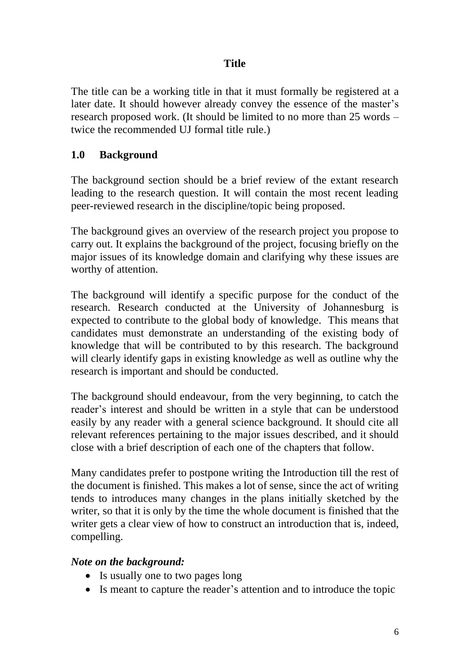# **Title**

<span id="page-5-0"></span>The title can be a working title in that it must formally be registered at a later date. It should however already convey the essence of the master's research proposed work. (It should be limited to no more than 25 words – twice the recommended UJ formal title rule.)

## <span id="page-5-1"></span>**1.0 Background**

The background section should be a brief review of the extant research leading to the research question. It will contain the most recent leading peer-reviewed research in the discipline/topic being proposed.

The background gives an overview of the research project you propose to carry out. It explains the background of the project, focusing briefly on the major issues of its knowledge domain and clarifying why these issues are worthy of attention.

The background will identify a specific purpose for the conduct of the research. Research conducted at the University of Johannesburg is expected to contribute to the global body of knowledge. This means that candidates must demonstrate an understanding of the existing body of knowledge that will be contributed to by this research. The background will clearly identify gaps in existing knowledge as well as outline why the research is important and should be conducted.

The background should endeavour, from the very beginning, to catch the reader's interest and should be written in a style that can be understood easily by any reader with a general science background. It should cite all relevant references pertaining to the major issues described, and it should close with a brief description of each one of the chapters that follow.

Many candidates prefer to postpone writing the Introduction till the rest of the document is finished. This makes a lot of sense, since the act of writing tends to introduces many changes in the plans initially sketched by the writer, so that it is only by the time the whole document is finished that the writer gets a clear view of how to construct an introduction that is, indeed, compelling.

### *Note on the background:*

- Is usually one to two pages long
- Is meant to capture the reader's attention and to introduce the topic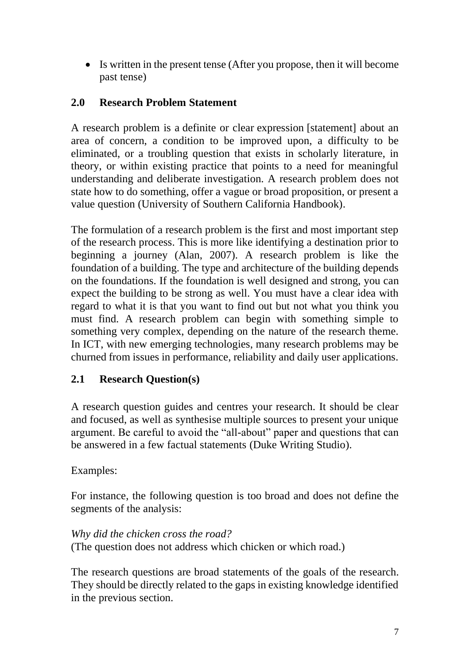• Is written in the present tense (After you propose, then it will become past tense)

# <span id="page-6-0"></span>**2.0 Research Problem Statement**

A research problem is a definite or clear expression [statement] about an area of concern, a condition to be improved upon, a difficulty to be eliminated, or a troubling question that exists in scholarly literature, in theory, or within existing practice that points to a need for meaningful understanding and deliberate investigation. A research problem does not state how to do something, offer a vague or broad proposition, or present a value question (University of Southern California Handbook).

The formulation of a research problem is the first and most important step of the research process. This is more like identifying a destination prior to beginning a journey (Alan, 2007). A research problem is like the foundation of a building. The type and architecture of the building depends on the foundations. If the foundation is well designed and strong, you can expect the building to be strong as well. You must have a clear idea with regard to what it is that you want to find out but not what you think you must find. A research problem can begin with something simple to something very complex, depending on the nature of the research theme. In ICT, with new emerging technologies, many research problems may be churned from issues in performance, reliability and daily user applications.

# <span id="page-6-1"></span>**2.1 Research Question(s)**

A research question guides and centres your research. It should be clear and focused, as well as synthesise multiple sources to present your unique argument. Be careful to avoid the "all-about" paper and questions that can be answered in a few factual statements (Duke Writing Studio).

### Examples:

For instance, the following question is too broad and does not define the segments of the analysis:

#### *Why did the chicken cross the road?*

(The question does not address which chicken or which road.)

The research questions are broad statements of the goals of the research. They should be directly related to the gaps in existing knowledge identified in the previous section.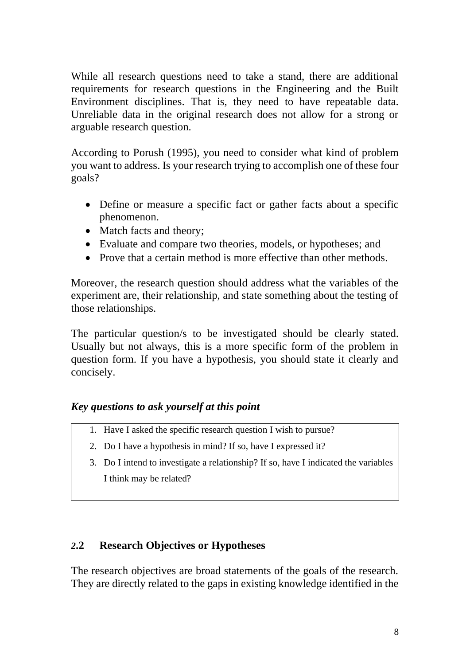While all research questions need to take a stand, there are additional requirements for research questions in the Engineering and the Built Environment disciplines. That is, they need to have repeatable data. Unreliable data in the original research does not allow for a strong or arguable research question.

According to Porush (1995), you need to consider what kind of problem you want to address. Is your research trying to accomplish one of these four goals?

- Define or measure a specific fact or gather facts about a specific phenomenon.
- Match facts and theory:
- Evaluate and compare two theories, models, or hypotheses; and
- Prove that a certain method is more effective than other methods.

Moreover, the research question should address what the variables of the experiment are, their relationship, and state something about the testing of those relationships.

The particular question/s to be investigated should be clearly stated. Usually but not always, this is a more specific form of the problem in question form. If you have a hypothesis, you should state it clearly and concisely.

### *Key questions to ask yourself at this point*

- 1. Have I asked the specific research question I wish to pursue?
- 2. Do I have a hypothesis in mind? If so, have I expressed it?
- 3. Do I intend to investigate a relationship? If so, have I indicated the variables I think may be related?

# <span id="page-7-0"></span>*2***.2 Research Objectives or Hypotheses**

The research objectives are broad statements of the goals of the research. They are directly related to the gaps in existing knowledge identified in the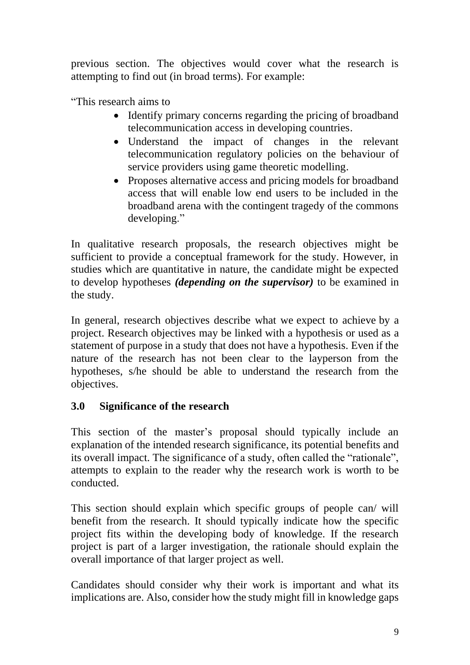previous section. The objectives would cover what the research is attempting to find out (in broad terms). For example:

"This research aims to

- Identify primary concerns regarding the pricing of broadband telecommunication access in developing countries.
- Understand the impact of changes in the relevant telecommunication regulatory policies on the behaviour of service providers using game theoretic modelling.
- Proposes alternative access and pricing models for broadband access that will enable low end users to be included in the broadband arena with the contingent tragedy of the commons developing."

In qualitative research proposals, the research objectives might be sufficient to provide a conceptual framework for the study. However, in studies which are quantitative in nature, the candidate might be expected to develop hypotheses *(depending on the supervisor)* to be examined in the study.

In general, research objectives describe what we expect to achieve by a project. Research objectives may be linked with a hypothesis or used as a statement of purpose in a study that does not have a hypothesis. Even if the nature of the research has not been clear to the layperson from the hypotheses, s/he should be able to understand the research from the objectives.

# <span id="page-8-0"></span>**3.0 Significance of the research**

This section of the master's proposal should typically include an explanation of the intended research significance, its potential benefits and its overall impact. The significance of a study, often called the "rationale", attempts to explain to the reader why the research work is worth to be conducted.

This section should explain which specific groups of people can/ will benefit from the research. It should typically indicate how the specific project fits within the developing body of knowledge. If the research project is part of a larger investigation, the rationale should explain the overall importance of that larger project as well.

Candidates should consider why their work is important and what its implications are. Also, consider how the study might fill in knowledge gaps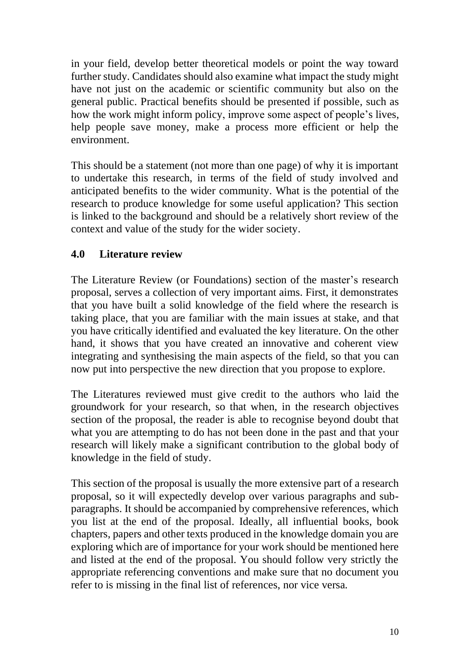in your field, develop better theoretical models or point the way toward further study. Candidates should also examine what impact the study might have not just on the academic or scientific community but also on the general public. Practical benefits should be presented if possible, such as how the work might inform policy, improve some aspect of people's lives, help people save money, make a process more efficient or help the environment.

This should be a statement (not more than one page) of why it is important to undertake this research, in terms of the field of study involved and anticipated benefits to the wider community. What is the potential of the research to produce knowledge for some useful application? This section is linked to the background and should be a relatively short review of the context and value of the study for the wider society.

# <span id="page-9-0"></span>**4.0 Literature review**

The Literature Review (or Foundations) section of the master's research proposal, serves a collection of very important aims. First, it demonstrates that you have built a solid knowledge of the field where the research is taking place, that you are familiar with the main issues at stake, and that you have critically identified and evaluated the key literature. On the other hand, it shows that you have created an innovative and coherent view integrating and synthesising the main aspects of the field, so that you can now put into perspective the new direction that you propose to explore.

The Literatures reviewed must give credit to the authors who laid the groundwork for your research, so that when, in the research objectives section of the proposal, the reader is able to recognise beyond doubt that what you are attempting to do has not been done in the past and that your research will likely make a significant contribution to the global body of knowledge in the field of study.

This section of the proposal is usually the more extensive part of a research proposal, so it will expectedly develop over various paragraphs and subparagraphs. It should be accompanied by comprehensive references, which you list at the end of the proposal. Ideally, all influential books, book chapters, papers and other texts produced in the knowledge domain you are exploring which are of importance for your work should be mentioned here and listed at the end of the proposal. You should follow very strictly the appropriate referencing conventions and make sure that no document you refer to is missing in the final list of references, nor vice versa.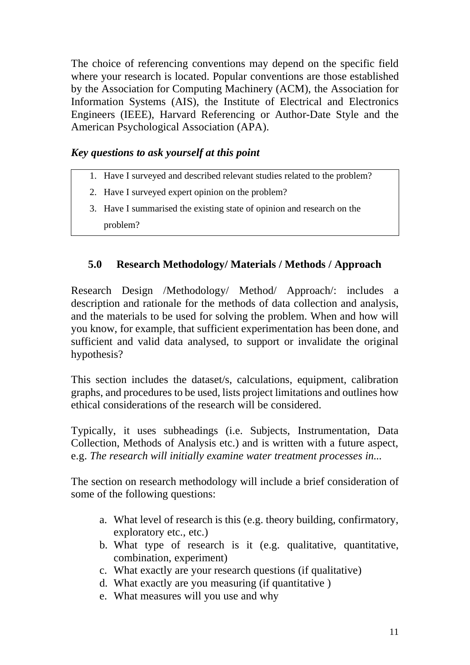The choice of referencing conventions may depend on the specific field where your research is located. Popular conventions are those established by the Association for Computing Machinery (ACM), the Association for Information Systems (AIS), the Institute of Electrical and Electronics Engineers (IEEE), Harvard Referencing or Author-Date Style and the American Psychological Association (APA).

# *Key questions to ask yourself at this point*

- 1. Have I surveyed and described relevant studies related to the problem?
- 2. Have I surveyed expert opinion on the problem?
- 3. Have I summarised the existing state of opinion and research on the problem?

# <span id="page-10-0"></span>**5.0 Research Methodology/ Materials / Methods / Approach**

Research Design /Methodology/ Method/ Approach/: includes a description and rationale for the methods of data collection and analysis, and the materials to be used for solving the problem. When and how will you know, for example, that sufficient experimentation has been done, and sufficient and valid data analysed, to support or invalidate the original hypothesis?

This section includes the dataset/s, calculations, equipment, calibration graphs, and procedures to be used, lists project limitations and outlines how ethical considerations of the research will be considered.

Typically, it uses subheadings (i.e. Subjects, Instrumentation, Data Collection, Methods of Analysis etc.) and is written with a future aspect, e.g. *The research will initially examine water treatment processes in...*

The section on research methodology will include a brief consideration of some of the following questions:

- a. What level of research is this (e.g. theory building, confirmatory, exploratory etc., etc.)
- b. What type of research is it (e.g. qualitative, quantitative, combination, experiment)
- c. What exactly are your research questions (if qualitative)
- d. What exactly are you measuring (if quantitative )
- e. What measures will you use and why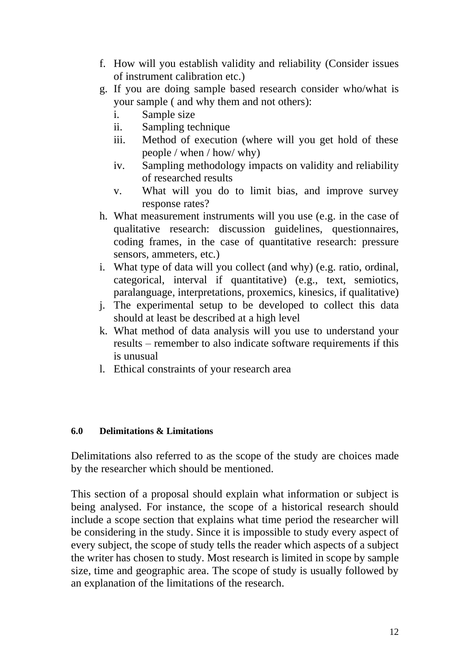- f. How will you establish validity and reliability (Consider issues of instrument calibration etc.)
- g. If you are doing sample based research consider who/what is your sample ( and why them and not others):
	- i. Sample size
	- ii. Sampling technique
	- iii. Method of execution (where will you get hold of these people / when / how/ why)
	- iv. Sampling methodology impacts on validity and reliability of researched results
	- v. What will you do to limit bias, and improve survey response rates?
- h. What measurement instruments will you use (e.g. in the case of qualitative research: discussion guidelines, questionnaires, coding frames, in the case of quantitative research: pressure sensors, ammeters, etc.)
- i. What type of data will you collect (and why) (e.g. ratio, ordinal, categorical, interval if quantitative) (e.g., text, semiotics, paralanguage, interpretations, proxemics, kinesics, if qualitative)
- j. The experimental setup to be developed to collect this data should at least be described at a high level
- k. What method of data analysis will you use to understand your results – remember to also indicate software requirements if this is unusual
- l. Ethical constraints of your research area

#### <span id="page-11-0"></span>**6.0 Delimitations & Limitations**

Delimitations also referred to as the scope of the study are choices made by the researcher which should be mentioned.

This section of a proposal should explain what information or subject is being analysed. For instance, the scope of a historical research should include a scope section that explains what time period the researcher will be considering in the study. Since it is impossible to study every aspect of every subject, the scope of study tells the reader which aspects of a subject the writer has chosen to study. Most research is limited in scope by sample size, time and geographic area. The scope of study is usually followed by an explanation of the limitations of the research.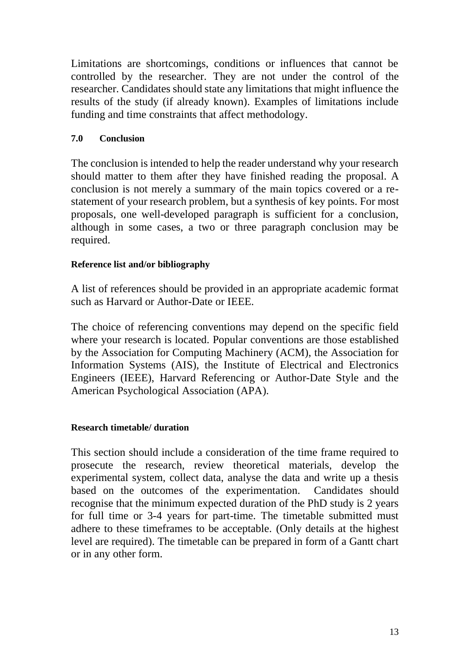Limitations are shortcomings, conditions or influences that cannot be controlled by the researcher. They are not under the control of the researcher. Candidates should state any limitations that might influence the results of the study (if already known). Examples of limitations include funding and time constraints that affect methodology.

### <span id="page-12-0"></span>**7.0 Conclusion**

The conclusion is intended to help the reader understand why your research should matter to them after they have finished reading the proposal. A conclusion is not merely a summary of the main topics covered or a restatement of your research problem, but a synthesis of key points. For most proposals, one well-developed paragraph is sufficient for a conclusion, although in some cases, a two or three paragraph conclusion may be required.

### <span id="page-12-1"></span>**Reference list and/or bibliography**

A list of references should be provided in an appropriate academic format such as Harvard or Author-Date or IEEE.

The choice of referencing conventions may depend on the specific field where your research is located. Popular conventions are those established by the Association for Computing Machinery (ACM), the Association for Information Systems (AIS), the Institute of Electrical and Electronics Engineers (IEEE), Harvard Referencing or Author-Date Style and the American Psychological Association (APA).

### <span id="page-12-2"></span>**Research timetable/ duration**

<span id="page-12-3"></span>This section should include a consideration of the time frame required to prosecute the research, review theoretical materials, develop the experimental system, collect data, analyse the data and write up a thesis based on the outcomes of the experimentation. Candidates should recognise that the minimum expected duration of the PhD study is 2 years for full time or 3-4 years for part-time. The timetable submitted must adhere to these timeframes to be acceptable. (Only details at the highest level are required). The timetable can be prepared in form of a Gantt chart or in any other form.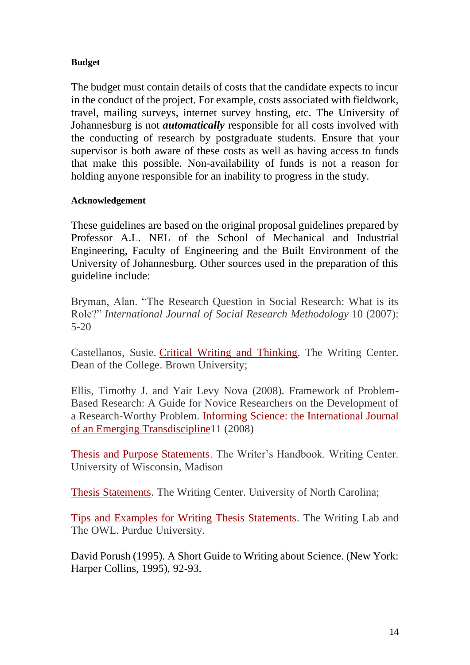#### **Budget**

The budget must contain details of costs that the candidate expects to incur in the conduct of the project. For example, costs associated with fieldwork, travel, mailing surveys, internet survey hosting, etc. The University of Johannesburg is not *automatically* responsible for all costs involved with the conducting of research by postgraduate students. Ensure that your supervisor is both aware of these costs as well as having access to funds that make this possible. Non-availability of funds is not a reason for holding anyone responsible for an inability to progress in the study.

#### <span id="page-13-0"></span>**Acknowledgement**

These guidelines are based on the original proposal guidelines prepared by Professor A.L. NEL of the School of Mechanical and Industrial Engineering, Faculty of Engineering and the Built Environment of the University of Johannesburg. Other sources used in the preparation of this guideline include:

Bryman, Alan. "The Research Question in Social Research: What is its Role?" *International Journal of Social Research Methodology* 10 (2007): 5-20

Castellanos, Susie. [Critical Writing and Thinking.](http://www.brown.edu/Student_Services/Writing_Center/resources_writers/article_castellanos.html) The Writing Center. Dean of the College. Brown University;

Ellis, Timothy J. and Yair Levy Nova (2008). Framework of Problem-Based Research: A Guide for Novice Researchers on the Development of a Research-Worthy Problem. [Informing Science: the International Journal](http://www.inform.nu/Articles/Vol11/ISJv11p017-033Ellis486.pdf)  [of an Emerging Transdiscipline1](http://www.inform.nu/Articles/Vol11/ISJv11p017-033Ellis486.pdf)1 (2008)

[Thesis and Purpose Statements.](http://writing.wisc.edu/Handbook/Thesis_or_Purpose.html) The Writer's Handbook. Writing Center. University of Wisconsin, Madison

[Thesis Statements.](http://writingcenter.unc.edu/handouts/thesis-statements/) The Writing Center. University of North Carolina;

[Tips and Examples for Writing Thesis Statements.](http://owl.english.purdue.edu/owl/resource/545/01/) The Writing Lab and The OWL. Purdue University.

David Porush (1995). A Short Guide to Writing about Science. (New York: Harper Collins, 1995), 92-93.